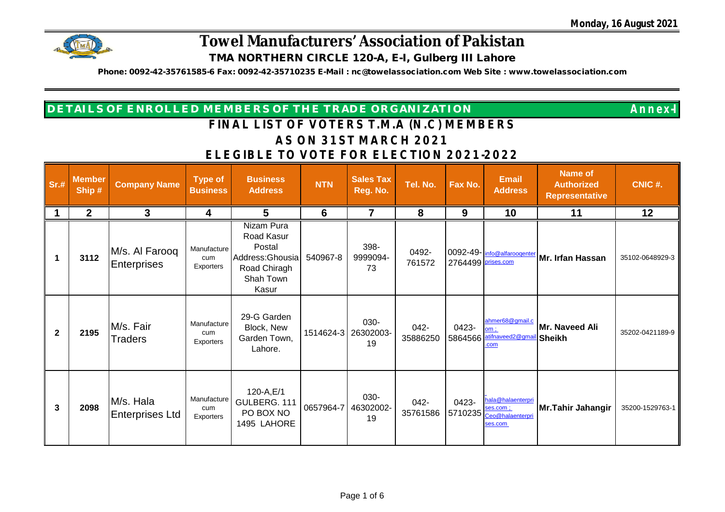

**Phone: 0092-42-35761585-6 Fax: 0092-42-35710235 E-Mail : [nc@towelassociation.com](mailto:nc@towelassociation.com) Web Site : [www.towelassociation.com](http://www.towelassociation.com)**

| <b>DETAILS OF ENROLLED MEMBERS OF THE TRADE ORGANIZATION \</b> | <b>Annex-l</b> |
|----------------------------------------------------------------|----------------|
| FINIAL LICT OF VOTEDC TIM A (NLO) MEMOFDC                      |                |

| Sr.#           | <b>Member</b><br>Ship# | <b>Company Name</b>                 | <b>Type of</b><br><b>Business</b> | <b>Business</b><br><b>Address</b>                                                            | <b>NTN</b> | <b>Sales Tax</b><br>Reg. No. | Tel. No.         | Fax No.            | <b>Email</b><br><b>Address</b>                                        | <b>Name of</b><br><b>Authorized</b><br><b>Representative</b> | CNIC #.         |
|----------------|------------------------|-------------------------------------|-----------------------------------|----------------------------------------------------------------------------------------------|------------|------------------------------|------------------|--------------------|-----------------------------------------------------------------------|--------------------------------------------------------------|-----------------|
|                | $\mathbf{2}$           | 3                                   | 4                                 | 5                                                                                            | 6          | 7                            | 8                | 9                  | 10                                                                    | 11                                                           | 12              |
| $\mathbf 1$    | 3112                   | M/s. Al Farooq<br>Enterprises       | Manufacture<br>cum<br>Exporters   | Nizam Pura<br>Road Kasur<br>Postal<br>Address: Ghousia<br>Road Chiragh<br>Shah Town<br>Kasur | 540967-8   | 398-<br>9999094-<br>73       | 0492-<br>761572  | 2764499 prises.com | 0092-49- info@alfaroogenter                                           | Mr. Irfan Hassan                                             | 35102-0648929-3 |
| $\overline{2}$ | 2195                   | M/s. Fair<br><b>Traders</b>         | Manufacture<br>cum<br>Exporters   | 29-G Garden<br>Block, New<br>Garden Town,<br>Lahore.                                         | 1514624-3  | 030-<br>26302003-<br>19      | 042-<br>35886250 | 0423-              | ahmer68@gmail.c<br>om:<br>5864566 atifnaveed2@gmai<br>com             | Mr. Naveed Ali<br><b>Sheikh</b>                              | 35202-0421189-9 |
| 3              | 2098                   | M/s. Hala<br><b>Enterprises Ltd</b> | Manufacture<br>cum<br>Exporters   | 120-A, E/1<br>GULBERG. 111<br>PO BOX NO<br>1495 LAHORE                                       | 0657964-7  | 030-<br>46302002-<br>19      | 042-<br>35761586 | 0423-              | hala@halaenterpri<br>ses.com :<br>5710235 Ceo@halaenterpri<br>ses.com | Mr.Tahir Jahangir                                            | 35200-1529763-1 |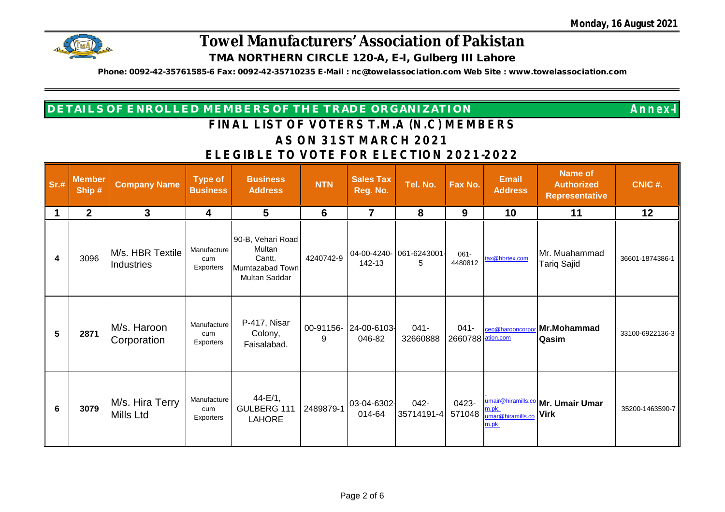

**Phone: 0092-42-35761585-6 Fax: 0092-42-35710235 E-Mail : [nc@towelassociation.com](mailto:nc@towelassociation.com) Web Site : [www.towelassociation.com](http://www.towelassociation.com)**

| <b>DETAILS OF ENROLLED MEMBERS OF THE TRADE ORGANIZATION</b> | <b>Annex-I</b> |
|--------------------------------------------------------------|----------------|
|                                                              |                |

| Sr.# | <b>Member</b><br>Ship # | <b>Company Name</b>            | <b>Type of</b><br><b>Business</b> | <b>Business</b><br><b>Address</b>                                         | <b>NTN</b> | <b>Sales Tax</b><br>Reg. No.    | Tel. No.            | Fax No.                      | <b>Email</b><br><b>Address</b>             | <b>Name of</b><br><b>Authorized</b><br><b>Representative</b> | CNIC #.         |
|------|-------------------------|--------------------------------|-----------------------------------|---------------------------------------------------------------------------|------------|---------------------------------|---------------------|------------------------------|--------------------------------------------|--------------------------------------------------------------|-----------------|
|      | $\mathbf{2}$            | 3                              | 4                                 | 5                                                                         | 6          |                                 | 8                   | 9                            | 10                                         | 11                                                           | 12              |
| 4    | 3096                    | M/s. HBR Textile<br>Industries | Manufacture<br>cum<br>Exporters   | 90-B, Vehari Road<br>Multan<br>Cantt.<br>Mumtazabad Town<br>Multan Saddar | 4240742-9  | 04-00-4240-<br>142-13           | 061-6243001<br>5    | $061 -$<br>4480812           | tax@hbrtex.com                             | Mr. Muahammad<br>Tariq Sajid                                 | 36601-1874386-1 |
| 5    | 2871                    | M/s. Haroon<br>Corporation     | Manufacture<br>cum<br>Exporters   | P-417, Nisar<br>Colony,<br>Faisalabad.                                    | 9          | 00-91156- 24-00-6103-<br>046-82 | $041 -$<br>32660888 | $041 -$<br>2660788 ation.com |                                            | ceo@harooncorpor Mr.Mohammad<br><b>Qasim</b>                 | 33100-6922136-3 |
| 6    | 3079                    | M/s. Hira Terry<br>Mills Ltd   | Manufacture<br>cum<br>Exporters   | $44-E/1,$<br>GULBERG 111<br><b>LAHORE</b>                                 | 2489879-1  | 03-04-6302-<br>014-64           | 042-<br>35714191-4  | 0423-<br>571048              | $m.pk$ ;<br>umar@hiramills.co Virk<br>m.pk | umair@hiramills.co   Mr. Umair Umar                          | 35200-1463590-7 |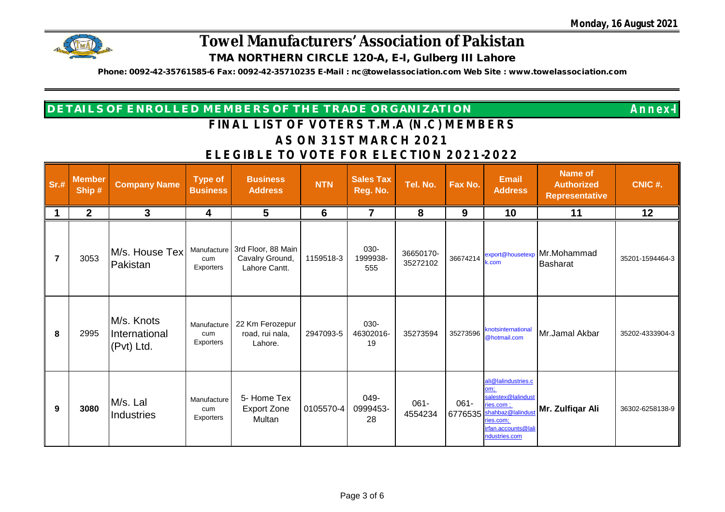

**Phone: 0092-42-35761585-6 Fax: 0092-42-35710235 E-Mail : [nc@towelassociation.com](mailto:nc@towelassociation.com) Web Site : [www.towelassociation.com](http://www.towelassociation.com)**

| <b>DETAILS OF ENROLLED MEMBERS OF THE TRADE ORGANIZATION</b> | <b>Annex-I</b> |
|--------------------------------------------------------------|----------------|
|--------------------------------------------------------------|----------------|

| Sr.#           | <b>Member</b><br>Ship # | <b>Company Name</b>                       | <b>Type of</b><br><b>Business</b> | <b>Business</b><br><b>Address</b>                                  | <b>NTN</b>      | <b>Sales Tax</b><br>Reg. No. | Tel. No.              | Fax No.            | <b>Email</b><br><b>Address</b>                                                                                                          | <b>Name of</b><br><b>Authorized</b><br><b>Representative</b> | CNIC #.         |
|----------------|-------------------------|-------------------------------------------|-----------------------------------|--------------------------------------------------------------------|-----------------|------------------------------|-----------------------|--------------------|-----------------------------------------------------------------------------------------------------------------------------------------|--------------------------------------------------------------|-----------------|
|                | $\mathbf{2}$            | 3                                         | 4                                 | 5                                                                  | $6\phantom{1}6$ | 7                            | 8                     | 9                  | 10                                                                                                                                      | 11                                                           | 12              |
| $\overline{7}$ | 3053                    | M/s. House Tex<br>Pakistan                | cum<br>Exporters                  | Manufacture 3rd Floor, 88 Main<br>Cavalry Ground,<br>Lahore Cantt. | 1159518-3       | 030-<br>1999938-<br>555      | 36650170-<br>35272102 | 36674214           | export@housetexp<br>k.com                                                                                                               | Mr.Mohammad<br>Basharat                                      | 35201-1594464-3 |
| 8              | 2995                    | M/s. Knots<br>International<br>(Pvt) Ltd. | Manufacture<br>cum<br>Exporters   | 22 Km Ferozepur<br>road, rui nala,<br>Lahore.                      | 2947093-5       | 030-<br>46302016-<br>19      | 35273594              | 35273596           | knotsinternational<br>@hotmail.com                                                                                                      | Mr.Jamal Akbar                                               | 35202-4333904-3 |
| 9              | 3080                    | M/s. Lal<br>Industries                    | Manufacture<br>cum<br>Exporters   | 5- Home Tex<br><b>Export Zone</b><br>Multan                        | 0105570-4       | 049-<br>0999453-<br>28       | $061 -$<br>4554234    | $061 -$<br>6776535 | ali@lalindustries.c<br>om:<br>salestex@lalindust<br>ries.com :<br>shahbaz@lalindus<br>ries.com;<br>irfan.accounts@lali<br>ndustries.com | Mr. Zulfiqar Ali                                             | 36302-6258138-9 |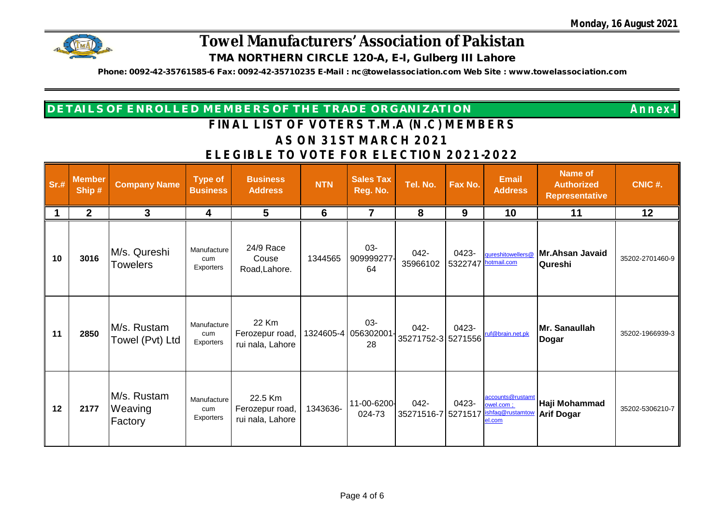

**Phone: 0092-42-35761585-6 Fax: 0092-42-35710235 E-Mail : [nc@towelassociation.com](mailto:nc@towelassociation.com) Web Site : [www.towelassociation.com](http://www.towelassociation.com)**

| <b>DETAILS OF ENROLLED MEMBERS OF THE TRADE ORGANIZATION \</b> |
|----------------------------------------------------------------|
|----------------------------------------------------------------|

| Sr.# | <b>Member</b><br>Ship# | <b>Company Name</b>               | <b>Type of</b><br><b>Business</b> | <b>Business</b><br><b>Address</b>              | <b>NTN</b> | <b>Sales Tax</b><br>Reg. No.        | Tel. No.                      | Fax No.          | <b>Email</b><br><b>Address</b>                              | <b>Name of</b><br><b>Authorized</b><br><b>Representative</b> | CNIC #.         |
|------|------------------------|-----------------------------------|-----------------------------------|------------------------------------------------|------------|-------------------------------------|-------------------------------|------------------|-------------------------------------------------------------|--------------------------------------------------------------|-----------------|
|      | $\mathbf 2$            | 3                                 | 4                                 | 5                                              | 6          | 7                                   | 8                             | 9                | 10                                                          | 11                                                           | 12              |
| 10   | 3016                   | M/s. Qureshi<br><b>Towelers</b>   | Manufacture<br>cum<br>Exporters   | 24/9 Race<br>Couse<br>Road, Lahore.            | 1344565    | 03-<br>909999277<br>64              | 042-<br>35966102              | 0423-<br>5322747 | qureshitowellers@<br>hotmail.com                            | Mr.Ahsan Javaid<br>Qureshi                                   | 35202-2701460-9 |
| 11   | 2850                   | M/s. Rustam<br>Towel (Pvt) Ltd    | Manufacture<br>cum<br>Exporters   | 22 Km<br>Ferozepur road,<br>rui nala, Lahore   |            | $03 -$<br>1324605-4 056302001<br>28 | $042 -$<br>35271752-3 5271556 | 0423-            | ruf@brain.net.pk                                            | Mr. Sanaullah<br>Dogar                                       | 35202-1966939-3 |
| 12   | 2177                   | M/s. Rustam<br>Weaving<br>Factory | Manufacture<br>cum<br>Exporters   | 22.5 Km<br>Ferozepur road,<br>rui nala, Lahore | 1343636-   | 11-00-6200-<br>024-73               | $042 -$<br>35271516-7         | 0423-<br>5271517 | accounts@rustamt<br>owel.com:<br>ishfaq@rustamtow<br>el.com | Haji Mohammad<br><b>Arif Dogar</b>                           | 35202-5306210-7 |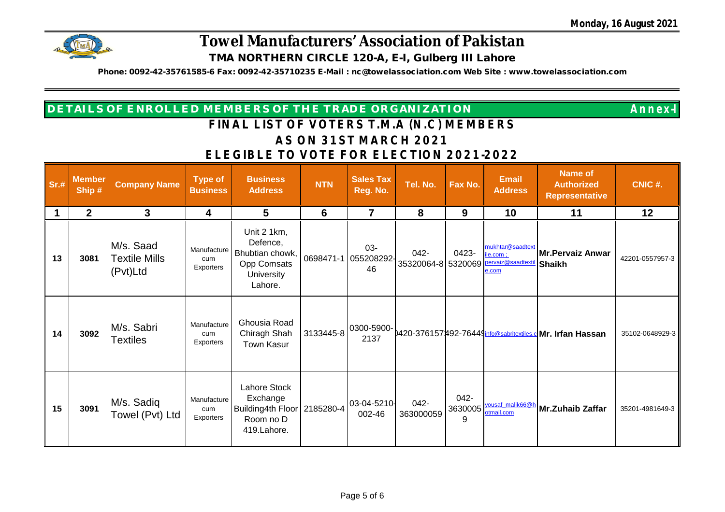

**Phone: 0092-42-35761585-6 Fax: 0092-42-35710235 E-Mail : [nc@towelassociation.com](mailto:nc@towelassociation.com) Web Site : [www.towelassociation.com](http://www.towelassociation.com)**

| <b>DETAILS OF ENROLLED MEMBERS OF THE TRADE ORGANIZATION \</b> | <b>Annex-l</b> |
|----------------------------------------------------------------|----------------|
| CINAL LICT OF VOTEDS T M A (N C) MEMPEDS                       |                |

| Sr.# | <b>Member</b><br>Ship# | <b>Company Name</b>                           | <b>Type of</b><br><b>Business</b> | <b>Business</b><br><b>Address</b>                                                         | <b>NTN</b> | <b>Sales Tax</b><br>Reg. No.         | Tel. No.              | Fax No.                 | <b>Email</b><br><b>Address</b>                            | <b>Name of</b><br><b>Authorized</b><br><b>Representative</b> | CNIC #.         |
|------|------------------------|-----------------------------------------------|-----------------------------------|-------------------------------------------------------------------------------------------|------------|--------------------------------------|-----------------------|-------------------------|-----------------------------------------------------------|--------------------------------------------------------------|-----------------|
|      | $\mathbf{2}$           | 3                                             | 4                                 | 5                                                                                         | 6          |                                      | 8                     | 9                       | 10                                                        | 11                                                           | 12              |
| 13   | 3081                   | M/s. Saad<br><b>Textile Mills</b><br>(Pvt)Ltd | Manufacture<br>cum<br>Exporters   | Unit 2 1km,<br>Defence,<br>Bhubtian chowk,<br>Opp Comsats<br><b>University</b><br>Lahore. |            | $03 -$<br>0698471-1 055208292-<br>46 | $042 -$<br>35320064-8 | 0423-<br>5320069        | mukhtar@saadtext<br>ile.com:<br>pervaiz@saadtext<br>e.com | <b>Mr.Pervaiz Anwar</b><br>Shaikh                            | 42201-0557957-3 |
| 14   | 3092                   | M/s. Sabri<br><b>Textiles</b>                 | Manufacture<br>cum<br>Exporters   | Ghousia Road<br>Chiragh Shah<br><b>Town Kasur</b>                                         | 3133445-8  | 0300-5900-<br>2137                   |                       |                         |                                                           | 0420-376157492-76449 info@sabritextiles.c Mr. Irfan Hassan   | 35102-0648929-3 |
| 15   | 3091                   | M/s. Sadiq<br>Towel (Pvt) Ltd                 | Manufacture<br>cum<br>Exporters   | Lahore Stock<br>Exchange<br>Building4th Floor<br>Room no D<br>419.Lahore.                 | 2185280-4  | 03-04-5210-<br>002-46                | 042-<br>363000059     | $042 -$<br>3630005<br>9 | yousaf_malik66@h<br>otmail.com                            | Mr.Zuhaib Zaffar                                             | 35201-4981649-3 |